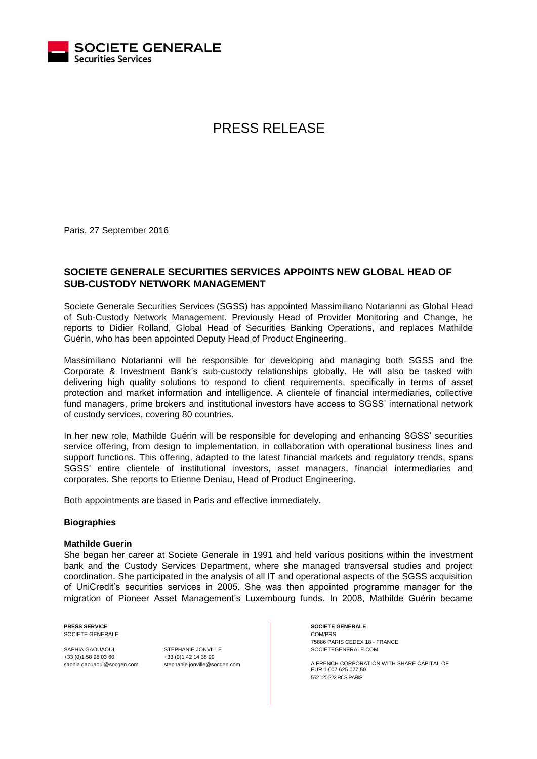

# PRESS RELEASE

Paris, 27 September 2016

## **SOCIETE GENERALE SECURITIES SERVICES APPOINTS NEW GLOBAL HEAD OF SUB-CUSTODY NETWORK MANAGEMENT**

Societe Generale Securities Services (SGSS) has appointed Massimiliano Notarianni as Global Head of Sub-Custody Network Management. Previously Head of Provider Monitoring and Change, he reports to Didier Rolland, Global Head of Securities Banking Operations, and replaces Mathilde Guérin, who has been appointed Deputy Head of Product Engineering.

Massimiliano Notarianni will be responsible for developing and managing both SGSS and the Corporate & Investment Bank's sub-custody relationships globally. He will also be tasked with delivering high quality solutions to respond to client requirements, specifically in terms of asset protection and market information and intelligence. A clientele of financial intermediaries, collective fund managers, prime brokers and institutional investors have access to SGSS' international network of custody services, covering 80 countries.

In her new role, Mathilde Guérin will be responsible for developing and enhancing SGSS' securities service offering, from design to implementation, in collaboration with operational business lines and support functions. This offering, adapted to the latest financial markets and regulatory trends, spans SGSS' entire clientele of institutional investors, asset managers, financial intermediaries and corporates. She reports to Etienne Deniau, Head of Product Engineering.

Both appointments are based in Paris and effective immediately.

### **Biographies**

#### **Mathilde Guerin**

She began her career at Societe Generale in 1991 and held various positions within the investment bank and the Custody Services Department, where she managed transversal studies and project coordination. She participated in the analysis of all IT and operational aspects of the SGSS acquisition of UniCredit's securities services in 2005. She was then appointed programme manager for the migration of Pioneer Asset Management's Luxembourg funds. In 2008, Mathilde Guérin became

**PRESS SERVICE** SOCIETE GENERALE

SAPHIA GAOUAOUI +33 (0)1 58 98 03 60 saphia.gaouaoui@socgen.com STEPHANIE JONVILLE +33 (0)1 42 14 38 99 stephanie.jonville@socgen.com **SOCIETE GENERALE** COM/PRS 75886 PARIS CEDEX 18 - FRANCE SOCIETEGENERALE.COM

A FRENCH CORPORATION WITH SHARE CAPITAL OF EUR 1 007 625 077,50 552 120 222 RCS PARIS